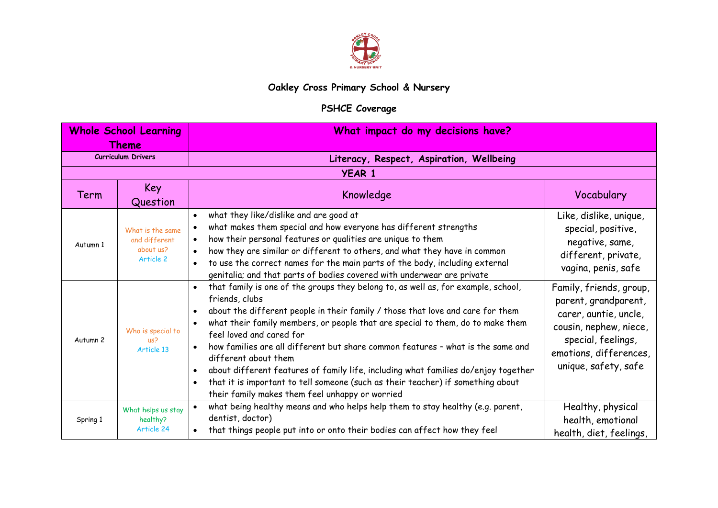

## **Oakley Cross Primary School & Nursery**

## **PSHCE Coverage**

| <b>Whole School Learning</b><br>Theme |                                                             | What impact do my decisions have?                                                                                                                                                                                                                                                                                                                                                                                                                                                                                                                                                                                                                                                 |                                                                                                                                                                            |
|---------------------------------------|-------------------------------------------------------------|-----------------------------------------------------------------------------------------------------------------------------------------------------------------------------------------------------------------------------------------------------------------------------------------------------------------------------------------------------------------------------------------------------------------------------------------------------------------------------------------------------------------------------------------------------------------------------------------------------------------------------------------------------------------------------------|----------------------------------------------------------------------------------------------------------------------------------------------------------------------------|
|                                       | <b>Curriculum Drivers</b>                                   | Literacy, Respect, Aspiration, Wellbeing                                                                                                                                                                                                                                                                                                                                                                                                                                                                                                                                                                                                                                          |                                                                                                                                                                            |
|                                       |                                                             | <b>YEAR 1</b>                                                                                                                                                                                                                                                                                                                                                                                                                                                                                                                                                                                                                                                                     |                                                                                                                                                                            |
| Term                                  | Key<br>Question                                             | Knowledge                                                                                                                                                                                                                                                                                                                                                                                                                                                                                                                                                                                                                                                                         | Vocabulary                                                                                                                                                                 |
| Autumn 1                              | What is the same<br>and different<br>about us?<br>Article 2 | what they like/dislike and are good at<br>$\bullet$<br>what makes them special and how everyone has different strengths<br>how their personal features or qualities are unique to them<br>$\bullet$<br>how they are similar or different to others, and what they have in common<br>$\bullet$<br>to use the correct names for the main parts of the body, including external<br>genitalia; and that parts of bodies covered with underwear are private                                                                                                                                                                                                                            | Like, dislike, unique,<br>special, positive,<br>negative, same,<br>different, private,<br>vagina, penis, safe                                                              |
| Autumn <sub>2</sub>                   | Who is special to<br>US <sup>2</sup><br>Article 13          | that family is one of the groups they belong to, as well as, for example, school,<br>$\bullet$<br>friends, clubs<br>about the different people in their family / those that love and care for them<br>$\bullet$<br>what their family members, or people that are special to them, do to make them<br>feel loved and cared for<br>how families are all different but share common features - what is the same and<br>different about them<br>about different features of family life, including what families do/enjoy together<br>$\bullet$<br>that it is important to tell someone (such as their teacher) if something about<br>their family makes them feel unhappy or worried | Family, friends, group,<br>parent, grandparent,<br>carer, auntie, uncle,<br>cousin, nephew, niece,<br>special, feelings,<br>emotions, differences,<br>unique, safety, safe |
| Spring 1                              | What helps us stay<br>healthy?<br>Article 24                | what being healthy means and who helps help them to stay healthy (e.g. parent,<br>dentist, doctor)<br>that things people put into or onto their bodies can affect how they feel                                                                                                                                                                                                                                                                                                                                                                                                                                                                                                   | Healthy, physical<br>health, emotional<br>health, diet, feelings,                                                                                                          |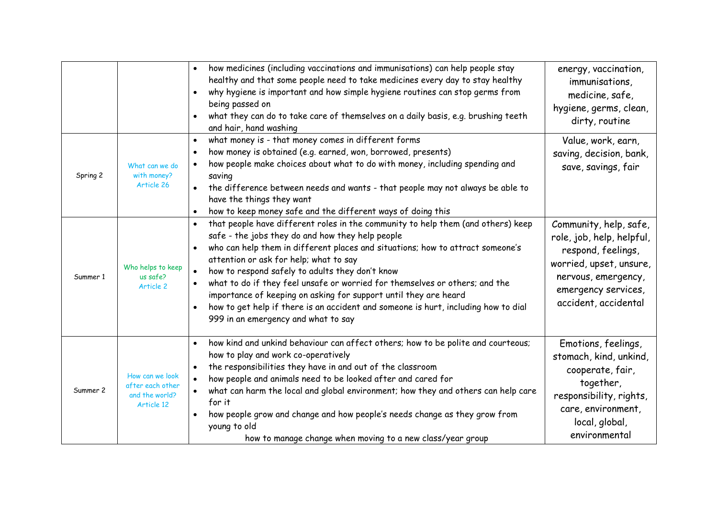|          |                                                                     | how medicines (including vaccinations and immunisations) can help people stay<br>healthy and that some people need to take medicines every day to stay healthy<br>why hygiene is important and how simple hygiene routines can stop germs from<br>$\bullet$<br>being passed on<br>what they can do to take care of themselves on a daily basis, e.g. brushing teeth<br>and hair, hand washing                                                                                                                                                                                                                                 | energy, vaccination,<br>immunisations,<br>medicine, safe,<br>hygiene, germs, clean,<br>dirty, routine                                                                      |
|----------|---------------------------------------------------------------------|-------------------------------------------------------------------------------------------------------------------------------------------------------------------------------------------------------------------------------------------------------------------------------------------------------------------------------------------------------------------------------------------------------------------------------------------------------------------------------------------------------------------------------------------------------------------------------------------------------------------------------|----------------------------------------------------------------------------------------------------------------------------------------------------------------------------|
| Spring 2 | What can we do<br>with money?<br>Article 26                         | what money is - that money comes in different forms<br>$\bullet$<br>how money is obtained (e.g. earned, won, borrowed, presents)<br>how people make choices about what to do with money, including spending and<br>$\bullet$<br>saving<br>the difference between needs and wants - that people may not always be able to<br>have the things they want<br>how to keep money safe and the different ways of doing this<br>$\bullet$                                                                                                                                                                                             | Value, work, earn,<br>saving, decision, bank,<br>save, savings, fair                                                                                                       |
| Summer 1 | Who helps to keep<br>us safe?<br>Article 2                          | that people have different roles in the community to help them (and others) keep<br>$\bullet$<br>safe - the jobs they do and how they help people<br>who can help them in different places and situations; how to attract someone's<br>$\bullet$<br>attention or ask for help; what to say<br>how to respond safely to adults they don't know<br>what to do if they feel unsafe or worried for themselves or others; and the<br>importance of keeping on asking for support until they are heard<br>how to get help if there is an accident and someone is hurt, including how to dial<br>999 in an emergency and what to say | Community, help, safe,<br>role, job, help, helpful,<br>respond, feelings,<br>worried, upset, unsure,<br>nervous, emergency,<br>emergency services,<br>accident, accidental |
| Summer 2 | How can we look<br>after each other<br>and the world?<br>Article 12 | how kind and unkind behaviour can affect others; how to be polite and courteous;<br>how to play and work co-operatively<br>the responsibilities they have in and out of the classroom<br>how people and animals need to be looked after and cared for<br>$\bullet$<br>what can harm the local and global environment; how they and others can help care<br>for it<br>how people grow and change and how people's needs change as they grow from<br>$\bullet$<br>young to old<br>how to manage change when moving to a new class/year group                                                                                    | Emotions, feelings,<br>stomach, kind, unkind,<br>cooperate, fair,<br>together,<br>responsibility, rights,<br>care, environment,<br>local, global,<br>environmental         |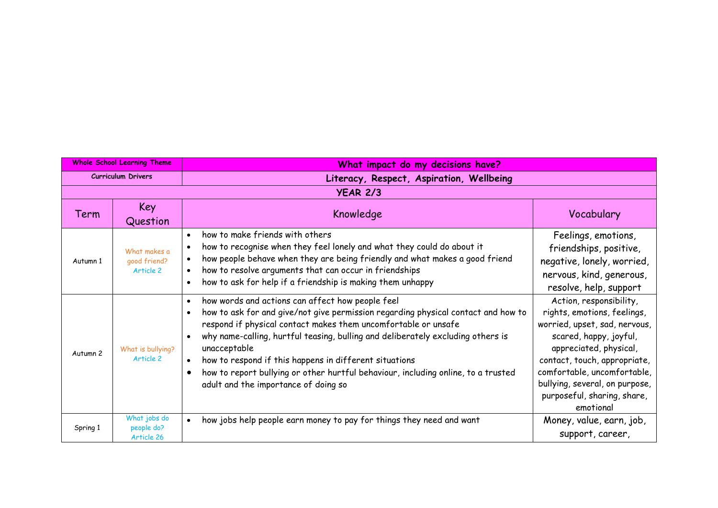| <b>Whole School Learning Theme</b> |                                           | What impact do my decisions have?                                                                                                                                                                                                                                                                                                                                                                                                                                                                              |                                                                                                                                                                                                                                                                                          |
|------------------------------------|-------------------------------------------|----------------------------------------------------------------------------------------------------------------------------------------------------------------------------------------------------------------------------------------------------------------------------------------------------------------------------------------------------------------------------------------------------------------------------------------------------------------------------------------------------------------|------------------------------------------------------------------------------------------------------------------------------------------------------------------------------------------------------------------------------------------------------------------------------------------|
| <b>Curriculum Drivers</b>          |                                           | Literacy, Respect, Aspiration, Wellbeing                                                                                                                                                                                                                                                                                                                                                                                                                                                                       |                                                                                                                                                                                                                                                                                          |
|                                    |                                           | <b>YEAR 2/3</b>                                                                                                                                                                                                                                                                                                                                                                                                                                                                                                |                                                                                                                                                                                                                                                                                          |
| Term                               | Key<br>Question                           | Knowledge                                                                                                                                                                                                                                                                                                                                                                                                                                                                                                      | Vocabulary                                                                                                                                                                                                                                                                               |
| Autumn 1                           | What makes a<br>qood friend?<br>Article 2 | how to make friends with others<br>$\bullet$<br>how to recognise when they feel lonely and what they could do about it<br>how people behave when they are being friendly and what makes a good friend<br>how to resolve arguments that can occur in friendships<br>how to ask for help if a friendship is making them unhappy                                                                                                                                                                                  | Feelings, emotions,<br>friendships, positive,<br>negative, lonely, worried,<br>nervous, kind, generous,<br>resolve, help, support                                                                                                                                                        |
| Autumn 2                           | What is bullying?<br>Article 2            | how words and actions can affect how people feel<br>how to ask for and give/not give permission regarding physical contact and how to<br>respond if physical contact makes them uncomfortable or unsafe<br>why name-calling, hurtful teasing, bulling and deliberately excluding others is<br>unacceptable<br>how to respond if this happens in different situations<br>$\bullet$<br>how to report bullying or other hurtful behaviour, including online, to a trusted<br>adult and the importance of doing so | Action, responsibility,<br>rights, emotions, feelings,<br>worried, upset, sad, nervous,<br>scared, happy, joyful,<br>appreciated, physical,<br>contact, touch, appropriate,<br>comfortable, uncomfortable,<br>bullying, several, on purpose,<br>purposeful, sharing, share,<br>emotional |
| Spring 1                           | What jobs do<br>people do?<br>Article 26  | how jobs help people earn money to pay for things they need and want                                                                                                                                                                                                                                                                                                                                                                                                                                           | Money, value, earn, job,<br>support, career,                                                                                                                                                                                                                                             |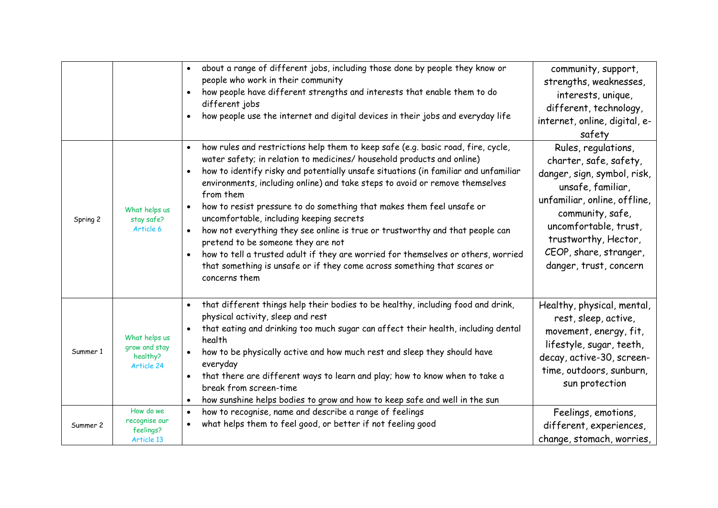|          |                                                          | about a range of different jobs, including those done by people they know or<br>$\bullet$<br>people who work in their community<br>how people have different strengths and interests that enable them to do<br>different jobs<br>how people use the internet and digital devices in their jobs and everyday life                                                                                                                                                                                                                                                                                                                                                                                                                                                                                       | community, support,<br>strengths, weaknesses,<br>interests, unique,<br>different, technology,<br>internet, online, digital, e-<br>safety                                                                                                                   |
|----------|----------------------------------------------------------|--------------------------------------------------------------------------------------------------------------------------------------------------------------------------------------------------------------------------------------------------------------------------------------------------------------------------------------------------------------------------------------------------------------------------------------------------------------------------------------------------------------------------------------------------------------------------------------------------------------------------------------------------------------------------------------------------------------------------------------------------------------------------------------------------------|------------------------------------------------------------------------------------------------------------------------------------------------------------------------------------------------------------------------------------------------------------|
| Spring 2 | What helps us<br>stay safe?<br>Article 6                 | how rules and restrictions help them to keep safe (e.g. basic road, fire, cycle,<br>$\bullet$<br>water safety; in relation to medicines/ household products and online)<br>how to identify risky and potentially unsafe situations (in familiar and unfamiliar<br>$\bullet$<br>environments, including online) and take steps to avoid or remove themselves<br>from them<br>how to resist pressure to do something that makes them feel unsafe or<br>uncomfortable, including keeping secrets<br>how not everything they see online is true or trustworthy and that people can<br>pretend to be someone they are not<br>how to tell a trusted adult if they are worried for themselves or others, worried<br>that something is unsafe or if they come across something that scares or<br>concerns them | Rules, regulations,<br>charter, safe, safety,<br>danger, sign, symbol, risk,<br>unsafe, familiar,<br>unfamiliar, online, offline,<br>community, safe,<br>uncomfortable, trust,<br>trustworthy, Hector,<br>CEOP, share, stranger,<br>danger, trust, concern |
| Summer 1 | What helps us<br>grow and stay<br>healthy?<br>Article 24 | that different things help their bodies to be healthy, including food and drink,<br>$\bullet$<br>physical activity, sleep and rest<br>that eating and drinking too much sugar can affect their health, including dental<br>health<br>how to be physically active and how much rest and sleep they should have<br>everyday<br>that there are different ways to learn and play; how to know when to take a<br>break from screen-time<br>how sunshine helps bodies to grow and how to keep safe and well in the sun                                                                                                                                                                                                                                                                                       | Healthy, physical, mental,<br>rest, sleep, active,<br>movement, energy, fit,<br>lifestyle, sugar, teeth,<br>decay, active-30, screen-<br>time, outdoors, sunburn,<br>sun protection                                                                        |
| Summer 2 | How do we<br>recognise our<br>feelings?<br>Article 13    | how to recognise, name and describe a range of feelings<br>$\bullet$<br>what helps them to feel good, or better if not feeling good                                                                                                                                                                                                                                                                                                                                                                                                                                                                                                                                                                                                                                                                    | Feelings, emotions,<br>different, experiences,<br>change, stomach, worries,                                                                                                                                                                                |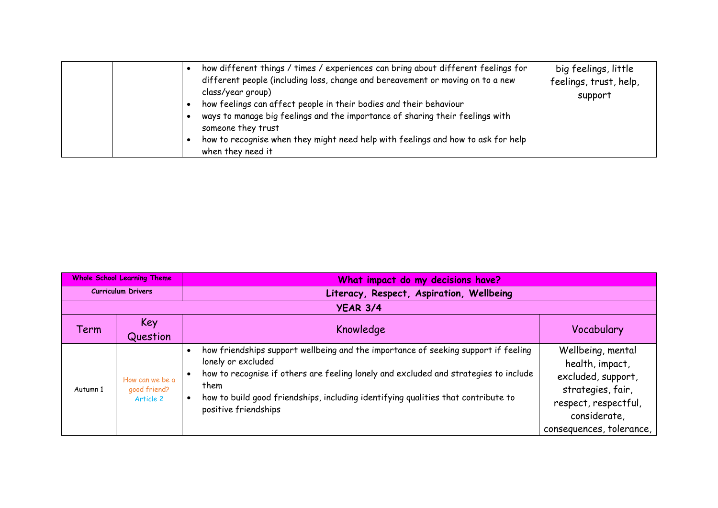| how different things / times / experiences can bring about different feelings for<br>different people (including loss, change and bereavement or moving on to a new<br>class/year group)<br>how feelings can affect people in their bodies and their behaviour<br>ways to manage big feelings and the importance of sharing their feelings with<br>someone they trust<br>how to recognise when they might need help with feelings and how to ask for help | big feelings, little<br>feelings, trust, help,<br>support |
|-----------------------------------------------------------------------------------------------------------------------------------------------------------------------------------------------------------------------------------------------------------------------------------------------------------------------------------------------------------------------------------------------------------------------------------------------------------|-----------------------------------------------------------|
| when they need it                                                                                                                                                                                                                                                                                                                                                                                                                                         |                                                           |

| <b>Whole School Learning Theme</b> |                                              | What impact do my decisions have?                                                                                                                                                                                                                                                                                     |                                                                                                                                                     |
|------------------------------------|----------------------------------------------|-----------------------------------------------------------------------------------------------------------------------------------------------------------------------------------------------------------------------------------------------------------------------------------------------------------------------|-----------------------------------------------------------------------------------------------------------------------------------------------------|
| <b>Curriculum Drivers</b>          |                                              | Literacy, Respect, Aspiration, Wellbeing                                                                                                                                                                                                                                                                              |                                                                                                                                                     |
|                                    |                                              | <b>YEAR 3/4</b>                                                                                                                                                                                                                                                                                                       |                                                                                                                                                     |
| Term                               | Key<br>Question                              | Knowledge                                                                                                                                                                                                                                                                                                             | Vocabulary                                                                                                                                          |
| Autumn 1                           | How can we be a<br>good friend?<br>Article 2 | how friendships support wellbeing and the importance of seeking support if feeling<br>lonely or excluded<br>how to recognise if others are feeling lonely and excluded and strategies to include<br>them<br>how to build good friendships, including identifying qualities that contribute to<br>positive friendships | Wellbeing, mental<br>health, impact,<br>excluded, support,<br>strategies, fair,<br>respect, respectful,<br>considerate,<br>consequences, tolerance, |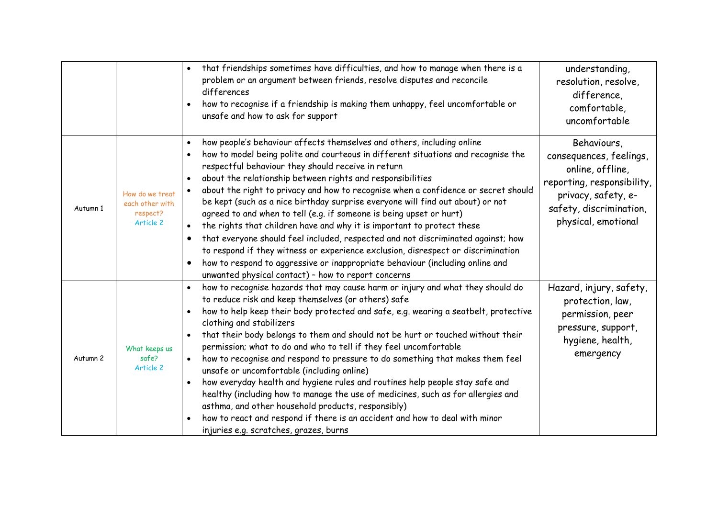|                     |                                                             | that friendships sometimes have difficulties, and how to manage when there is a<br>problem or an argument between friends, resolve disputes and reconcile<br>differences<br>how to recognise if a friendship is making them unhappy, feel uncomfortable or<br>unsafe and how to ask for support                                                                                                                                                                                                                                                                                                                                                                                                                                                                                                                                                                                                                                       | understanding,<br>resolution, resolve,<br>difference,<br>comfortable,<br>uncomfortable                                                                            |
|---------------------|-------------------------------------------------------------|---------------------------------------------------------------------------------------------------------------------------------------------------------------------------------------------------------------------------------------------------------------------------------------------------------------------------------------------------------------------------------------------------------------------------------------------------------------------------------------------------------------------------------------------------------------------------------------------------------------------------------------------------------------------------------------------------------------------------------------------------------------------------------------------------------------------------------------------------------------------------------------------------------------------------------------|-------------------------------------------------------------------------------------------------------------------------------------------------------------------|
| Autumn 1            | How do we treat<br>each other with<br>respect?<br>Article 2 | how people's behaviour affects themselves and others, including online<br>$\bullet$<br>how to model being polite and courteous in different situations and recognise the<br>respectful behaviour they should receive in return<br>about the relationship between rights and responsibilities<br>about the right to privacy and how to recognise when a confidence or secret should<br>be kept (such as a nice birthday surprise everyone will find out about) or not<br>agreed to and when to tell (e.g. if someone is being upset or hurt)<br>the rights that children have and why it is important to protect these<br>that everyone should feel included, respected and not discriminated against; how<br>to respond if they witness or experience exclusion, disrespect or discrimination<br>how to respond to aggressive or inappropriate behaviour (including online and<br>unwanted physical contact) - how to report concerns | Behaviours,<br>consequences, feelings,<br>online, offline,<br>reporting, responsibility,<br>privacy, safety, e-<br>safety, discrimination,<br>physical, emotional |
| Autumn <sub>2</sub> | What keeps us<br>safe?<br>Article 2                         | how to recognise hazards that may cause harm or injury and what they should do<br>to reduce risk and keep themselves (or others) safe<br>how to help keep their body protected and safe, e.g. wearing a seatbelt, protective<br>clothing and stabilizers<br>that their body belongs to them and should not be hurt or touched without their<br>permission; what to do and who to tell if they feel uncomfortable<br>how to recognise and respond to pressure to do something that makes them feel<br>$\bullet$<br>unsafe or uncomfortable (including online)<br>how everyday health and hygiene rules and routines help people stay safe and<br>healthy (including how to manage the use of medicines, such as for allergies and<br>asthma, and other household products, responsibly)<br>how to react and respond if there is an accident and how to deal with minor<br>injuries e.g. scratches, grazes, burns                       | Hazard, injury, safety,<br>protection, law,<br>permission, peer<br>pressure, support,<br>hygiene, health,<br>emergency                                            |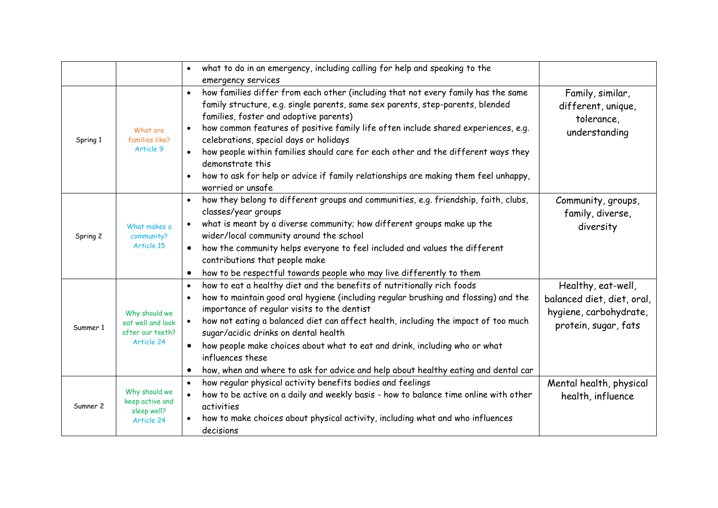|          |                                                                      | what to do in an emergency, including calling for help and speaking to the<br>$\bullet$<br>emergency services                                                                                                                                                                                                                                                                                                                                                                                                                                                                                |                                                                                                    |
|----------|----------------------------------------------------------------------|----------------------------------------------------------------------------------------------------------------------------------------------------------------------------------------------------------------------------------------------------------------------------------------------------------------------------------------------------------------------------------------------------------------------------------------------------------------------------------------------------------------------------------------------------------------------------------------------|----------------------------------------------------------------------------------------------------|
| Spring 1 | What are<br>families like?<br>Article 9                              | how families differ from each other (including that not every family has the same<br>$\bullet$<br>family structure, e.g. single parents, same sex parents, step-parents, blended<br>families, foster and adoptive parents)<br>how common features of positive family life often include shared experiences, e.g.<br>$\bullet$<br>celebrations, special days or holidays<br>how people within families should care for each other and the different ways they<br>demonstrate this<br>how to ask for help or advice if family relationships are making them feel unhappy,<br>worried or unsafe | Family, similar,<br>different, unique,<br>tolerance,<br>understanding                              |
| Spring 2 | What makes a<br>community?<br>Article 15                             | how they belong to different groups and communities, e.g. friendship, faith, clubs,<br>$\bullet$<br>classes/year groups<br>what is meant by a diverse community; how different groups make up the<br>wider/local community around the school<br>how the community helps everyone to feel included and values the different<br>$\bullet$<br>contributions that people make<br>how to be respectful towards people who may live differently to them<br>$\bullet$                                                                                                                               | Community, groups,<br>family, diverse,<br>diversity                                                |
| Summer 1 | Why should we<br>eat well and look<br>after our teeth?<br>Article 24 | how to eat a healthy diet and the benefits of nutritionally rich foods<br>$\bullet$<br>how to maintain good oral hygiene (including regular brushing and flossing) and the<br>importance of regular visits to the dentist<br>how not eating a balanced diet can affect health, including the impact of too much<br>$\bullet$<br>sugar/acidic drinks on dental health<br>how people make choices about what to eat and drink, including who or what<br>$\bullet$<br>influences these<br>how, when and where to ask for advice and help about healthy eating and dental car<br>$\bullet$       | Healthy, eat-well,<br>balanced diet, diet, oral,<br>hygiene, carbohydrate,<br>protein, sugar, fats |
| Sumner 2 | Why should we<br>keep active and<br>sleep well?<br>Article 24        | how regular physical activity benefits bodies and feelings<br>$\bullet$<br>how to be active on a daily and weekly basis - how to balance time online with other<br>$\bullet$<br>activities<br>how to make choices about physical activity, including what and who influences<br>decisions                                                                                                                                                                                                                                                                                                    | Mental health, physical<br>health, influence                                                       |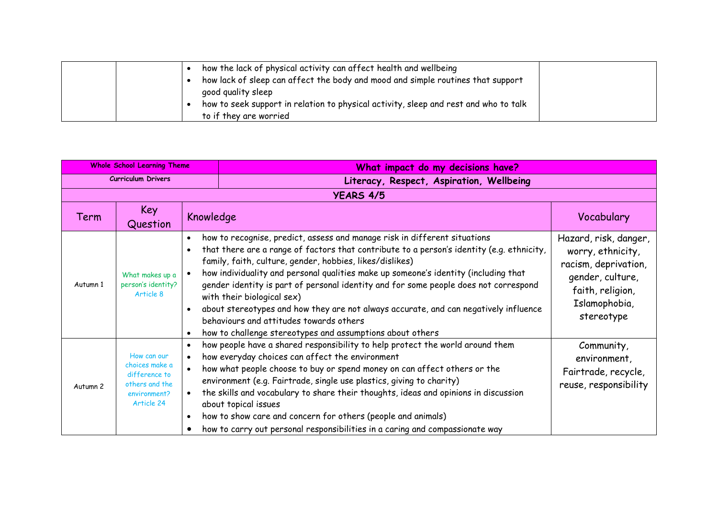| how the lack of physical activity can affect health and wellbeing                    |
|--------------------------------------------------------------------------------------|
| how lack of sleep can affect the body and mood and simple routines that support      |
| good quality sleep                                                                   |
| how to seek support in relation to physical activity, sleep and rest and who to talk |
| to if they are worried                                                               |

| <b>Whole School Learning Theme</b> |                                                                                                | What impact do my decisions have?                                                                                                                                                                                                                                                                                                                                                                                                                                                                                                                                                                                                               |                                                                                                                                           |
|------------------------------------|------------------------------------------------------------------------------------------------|-------------------------------------------------------------------------------------------------------------------------------------------------------------------------------------------------------------------------------------------------------------------------------------------------------------------------------------------------------------------------------------------------------------------------------------------------------------------------------------------------------------------------------------------------------------------------------------------------------------------------------------------------|-------------------------------------------------------------------------------------------------------------------------------------------|
| <b>Curriculum Drivers</b>          |                                                                                                | Literacy, Respect, Aspiration, Wellbeing                                                                                                                                                                                                                                                                                                                                                                                                                                                                                                                                                                                                        |                                                                                                                                           |
|                                    |                                                                                                | <b>YEARS 4/5</b>                                                                                                                                                                                                                                                                                                                                                                                                                                                                                                                                                                                                                                |                                                                                                                                           |
| Term                               | Key<br>Question                                                                                | Knowledge                                                                                                                                                                                                                                                                                                                                                                                                                                                                                                                                                                                                                                       | Vocabulary                                                                                                                                |
| Autumn 1                           | What makes up a<br>person's identity?<br>Article 8                                             | how to recognise, predict, assess and manage risk in different situations<br>that there are a range of factors that contribute to a person's identity (e.g. ethnicity,<br>family, faith, culture, gender, hobbies, likes/dislikes)<br>how individuality and personal qualities make up someone's identity (including that<br>gender identity is part of personal identity and for some people does not correspond<br>with their biological sex)<br>about stereotypes and how they are not always accurate, and can negatively influence<br>behaviours and attitudes towards others<br>how to challenge stereotypes and assumptions about others | Hazard, risk, danger,<br>worry, ethnicity,<br>racism, deprivation,<br>gender, culture,<br>faith, religion,<br>Islamophobia,<br>stereotype |
| Autumn <sub>2</sub>                | How can our<br>choices make a<br>difference to<br>others and the<br>environment?<br>Article 24 | how people have a shared responsibility to help protect the world around them<br>$\bullet$<br>how everyday choices can affect the environment<br>$\bullet$<br>how what people choose to buy or spend money on can affect others or the<br>$\bullet$<br>environment (e.g. Fairtrade, single use plastics, giving to charity)<br>the skills and vocabulary to share their thoughts, ideas and opinions in discussion<br>about topical issues<br>how to show care and concern for others (people and animals)<br>$\bullet$<br>how to carry out personal responsibilities in a caring and compassionate way                                         | Community,<br>environment,<br>Fairtrade, recycle,<br>reuse, responsibility                                                                |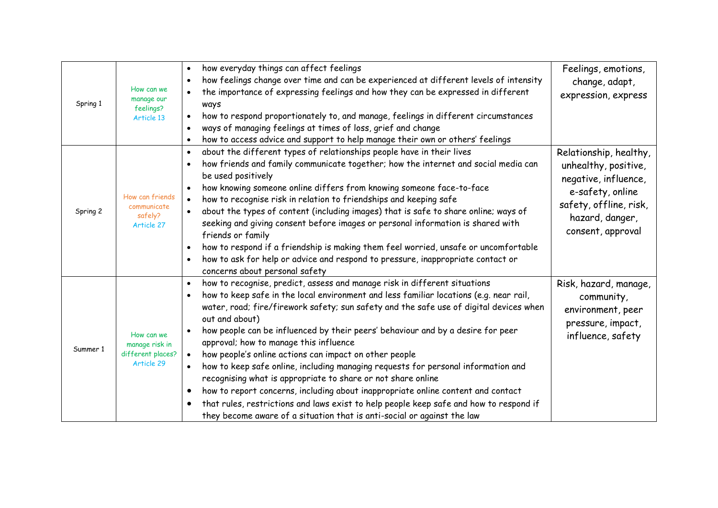| Spring 1 | How can we<br>manage our<br>feelings?<br>Article 13             | how everyday things can affect feelings<br>$\bullet$<br>how feelings change over time and can be experienced at different levels of intensity<br>the importance of expressing feelings and how they can be expressed in different<br>ways<br>how to respond proportionately to, and manage, feelings in different circumstances<br>$\bullet$<br>ways of managing feelings at times of loss, grief and change<br>how to access advice and support to help manage their own or others' feelings<br>$\bullet$                                                                                                                                                                                                                                                                                                                                                                                                                               | Feelings, emotions,<br>change, adapt,<br>expression, express                                                                                                 |
|----------|-----------------------------------------------------------------|------------------------------------------------------------------------------------------------------------------------------------------------------------------------------------------------------------------------------------------------------------------------------------------------------------------------------------------------------------------------------------------------------------------------------------------------------------------------------------------------------------------------------------------------------------------------------------------------------------------------------------------------------------------------------------------------------------------------------------------------------------------------------------------------------------------------------------------------------------------------------------------------------------------------------------------|--------------------------------------------------------------------------------------------------------------------------------------------------------------|
| Spring 2 | How can friends<br>communicate<br>safely?<br>Article 27         | about the different types of relationships people have in their lives<br>$\bullet$<br>how friends and family communicate together; how the internet and social media can<br>$\bullet$<br>be used positively<br>how knowing someone online differs from knowing someone face-to-face<br>$\bullet$<br>how to recognise risk in relation to friendships and keeping safe<br>$\bullet$<br>about the types of content (including images) that is safe to share online; ways of<br>$\bullet$<br>seeking and giving consent before images or personal information is shared with<br>friends or family<br>how to respond if a friendship is making them feel worried, unsafe or uncomfortable<br>how to ask for help or advice and respond to pressure, inappropriate contact or<br>concerns about personal safety                                                                                                                               | Relationship, healthy,<br>unhealthy, positive,<br>negative, influence,<br>e-safety, online<br>safety, offline, risk,<br>hazard, danger,<br>consent, approval |
| Summer 1 | How can we<br>manage risk in<br>different places?<br>Article 29 | how to recognise, predict, assess and manage risk in different situations<br>$\bullet$<br>how to keep safe in the local environment and less familiar locations (e.g. near rail,<br>water, road; fire/firework safety; sun safety and the safe use of digital devices when<br>out and about)<br>how people can be influenced by their peers' behaviour and by a desire for peer<br>approval; how to manage this influence<br>how people's online actions can impact on other people<br>$\bullet$<br>how to keep safe online, including managing requests for personal information and<br>$\bullet$<br>recognising what is appropriate to share or not share online<br>how to report concerns, including about inappropriate online content and contact<br>$\bullet$<br>that rules, restrictions and laws exist to help people keep safe and how to respond if<br>they become aware of a situation that is anti-social or against the law | Risk, hazard, manage,<br>community,<br>environment, peer<br>pressure, impact,<br>influence, safety                                                           |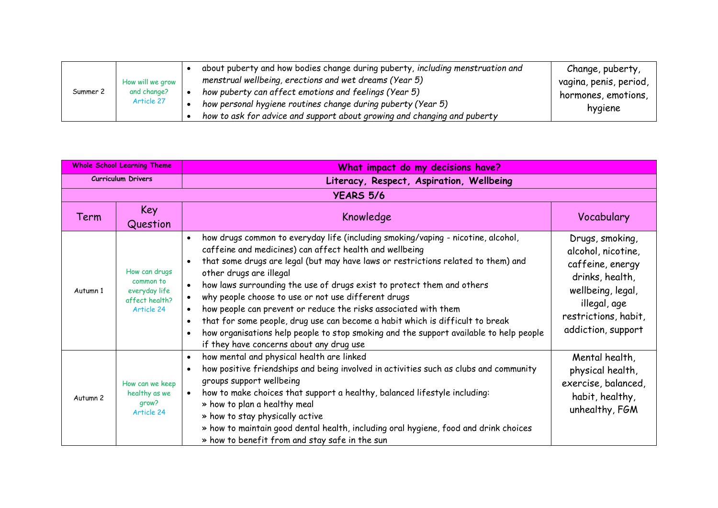| Summer 2 |                                 | about puberty and how bodies change during puberty, including menstruation and | Change, puberty,                                             |         |
|----------|---------------------------------|--------------------------------------------------------------------------------|--------------------------------------------------------------|---------|
|          | How will we grow<br>and change? | menstrual wellbeing, erections and wet dreams (Year 5)                         | vagina, penis, period,                                       |         |
|          |                                 | how puberty can affect emotions and feelings (Year 5)                          | hormones, emotions,                                          |         |
|          |                                 | Article 27                                                                     | how personal hygiene routines change during puberty (Year 5) | hygiene |
|          |                                 | how to ask for advice and support about growing and changing and puberty       |                                                              |         |

| <b>Whole School Learning Theme</b> |                                                                             | What impact do my decisions have?                                                                                                                                                                                                                                                                                                                                                                                                                                                                                                                                                                                                                                                      |                                                                                                                                                                 |  |  |  |  |
|------------------------------------|-----------------------------------------------------------------------------|----------------------------------------------------------------------------------------------------------------------------------------------------------------------------------------------------------------------------------------------------------------------------------------------------------------------------------------------------------------------------------------------------------------------------------------------------------------------------------------------------------------------------------------------------------------------------------------------------------------------------------------------------------------------------------------|-----------------------------------------------------------------------------------------------------------------------------------------------------------------|--|--|--|--|
| <b>Curriculum Drivers</b>          |                                                                             | Literacy, Respect, Aspiration, Wellbeing                                                                                                                                                                                                                                                                                                                                                                                                                                                                                                                                                                                                                                               |                                                                                                                                                                 |  |  |  |  |
| <b>YEARS 5/6</b>                   |                                                                             |                                                                                                                                                                                                                                                                                                                                                                                                                                                                                                                                                                                                                                                                                        |                                                                                                                                                                 |  |  |  |  |
| Term                               | <b>Key</b><br>Question                                                      | Knowledge                                                                                                                                                                                                                                                                                                                                                                                                                                                                                                                                                                                                                                                                              | Vocabulary                                                                                                                                                      |  |  |  |  |
| Autumn 1                           | How can drugs<br>common to<br>everyday life<br>affect health?<br>Article 24 | how drugs common to everyday life (including smoking/vaping - nicotine, alcohol,<br>caffeine and medicines) can affect health and wellbeing<br>that some drugs are legal (but may have laws or restrictions related to them) and<br>other drugs are illegal<br>how laws surrounding the use of drugs exist to protect them and others<br>why people choose to use or not use different drugs<br>how people can prevent or reduce the risks associated with them<br>that for some people, drug use can become a habit which is difficult to break<br>how organisations help people to stop smoking and the support available to help people<br>if they have concerns about any drug use | Drugs, smoking,<br>alcohol, nicotine,<br>caffeine, energy<br>drinks, health,<br>wellbeing, legal,<br>illegal, age<br>restrictions, habit,<br>addiction, support |  |  |  |  |
| Autumn <sub>2</sub>                | How can we keep<br>healthy as we<br>grow?<br>Article 24                     | how mental and physical health are linked<br>$\bullet$<br>how positive friendships and being involved in activities such as clubs and community<br>groups support wellbeing<br>how to make choices that support a healthy, balanced lifestyle including:<br>$\bullet$<br>» how to plan a healthy meal<br>» how to stay physically active<br>» how to maintain good dental health, including oral hygiene, food and drink choices<br>» how to benefit from and stay safe in the sun                                                                                                                                                                                                     | Mental health,<br>physical health,<br>exercise, balanced,<br>habit, healthy,<br>unhealthy, FGM                                                                  |  |  |  |  |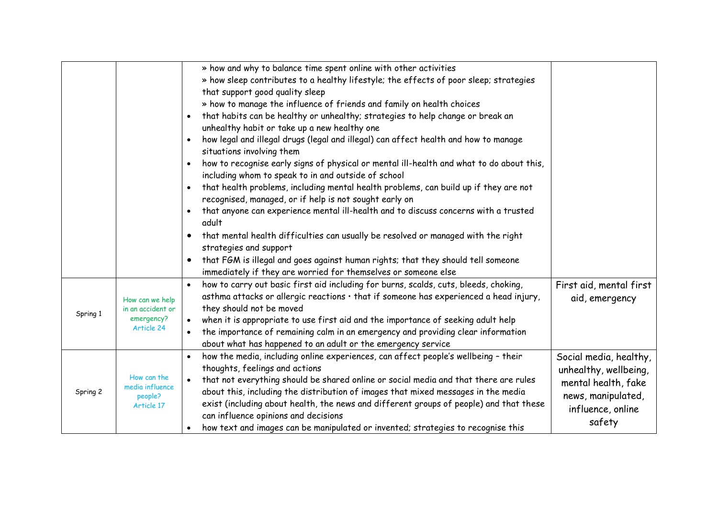|          |                                                                  | » how and why to balance time spent online with other activities<br>» how sleep contributes to a healthy lifestyle; the effects of poor sleep; strategies<br>that support good quality sleep<br>» how to manage the influence of friends and family on health choices<br>that habits can be healthy or unhealthy; strategies to help change or break an<br>unhealthy habit or take up a new healthy one<br>how legal and illegal drugs (legal and illegal) can affect health and how to manage<br>situations involving them<br>how to recognise early signs of physical or mental ill-health and what to do about this,<br>including whom to speak to in and outside of school<br>that health problems, including mental health problems, can build up if they are not<br>$\bullet$<br>recognised, managed, or if help is not sought early on<br>that anyone can experience mental ill-health and to discuss concerns with a trusted<br>adult<br>that mental health difficulties can usually be resolved or managed with the right<br>strategies and support<br>that FGM is illegal and goes against human rights; that they should tell someone<br>immediately if they are worried for themselves or someone else |                                                                                                                             |
|----------|------------------------------------------------------------------|--------------------------------------------------------------------------------------------------------------------------------------------------------------------------------------------------------------------------------------------------------------------------------------------------------------------------------------------------------------------------------------------------------------------------------------------------------------------------------------------------------------------------------------------------------------------------------------------------------------------------------------------------------------------------------------------------------------------------------------------------------------------------------------------------------------------------------------------------------------------------------------------------------------------------------------------------------------------------------------------------------------------------------------------------------------------------------------------------------------------------------------------------------------------------------------------------------------------|-----------------------------------------------------------------------------------------------------------------------------|
| Spring 1 | How can we help<br>in an accident or<br>emergency?<br>Article 24 | how to carry out basic first aid including for burns, scalds, cuts, bleeds, choking,<br>asthma attacks or allergic reactions · that if someone has experienced a head injury,<br>they should not be moved<br>when it is appropriate to use first aid and the importance of seeking adult help<br>the importance of remaining calm in an emergency and providing clear information<br>$\bullet$<br>about what has happened to an adult or the emergency service                                                                                                                                                                                                                                                                                                                                                                                                                                                                                                                                                                                                                                                                                                                                                     | First aid, mental first<br>aid, emergency                                                                                   |
| Spring 2 | How can the<br>media influence<br>people?<br>Article 17          | how the media, including online experiences, can affect people's wellbeing - their<br>thoughts, feelings and actions<br>that not everything should be shared online or social media and that there are rules<br>about this, including the distribution of images that mixed messages in the media<br>exist (including about health, the news and different groups of people) and that these<br>can influence opinions and decisions<br>how text and images can be manipulated or invented; strategies to recognise this                                                                                                                                                                                                                                                                                                                                                                                                                                                                                                                                                                                                                                                                                            | Social media, healthy,<br>unhealthy, wellbeing,<br>mental health, fake<br>news, manipulated,<br>influence, online<br>safety |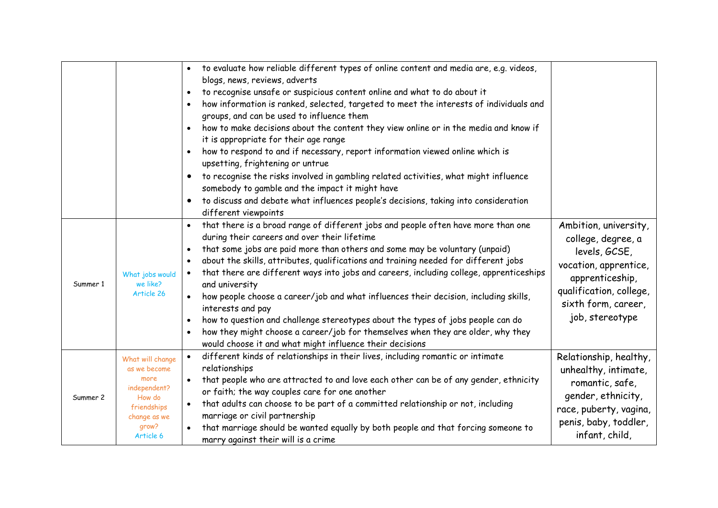|          |                                                                                                                         | to evaluate how reliable different types of online content and media are, e.g. videos,<br>blogs, news, reviews, adverts<br>to recognise unsafe or suspicious content online and what to do about it<br>how information is ranked, selected, targeted to meet the interests of individuals and<br>$\bullet$<br>groups, and can be used to influence them<br>how to make decisions about the content they view online or in the media and know if<br>it is appropriate for their age range<br>how to respond to and if necessary, report information viewed online which is<br>upsetting, frightening or untrue<br>to recognise the risks involved in gambling related activities, what might influence<br>$\bullet$<br>somebody to gamble and the impact it might have<br>to discuss and debate what influences people's decisions, taking into consideration<br>different viewpoints |                                                                                                                                                                               |
|----------|-------------------------------------------------------------------------------------------------------------------------|--------------------------------------------------------------------------------------------------------------------------------------------------------------------------------------------------------------------------------------------------------------------------------------------------------------------------------------------------------------------------------------------------------------------------------------------------------------------------------------------------------------------------------------------------------------------------------------------------------------------------------------------------------------------------------------------------------------------------------------------------------------------------------------------------------------------------------------------------------------------------------------|-------------------------------------------------------------------------------------------------------------------------------------------------------------------------------|
| Summer 1 | What jobs would<br>we like?<br>Article 26                                                                               | that there is a broad range of different jobs and people often have more than one<br>during their careers and over their lifetime<br>that some jobs are paid more than others and some may be voluntary (unpaid)<br>$\bullet$<br>about the skills, attributes, qualifications and training needed for different jobs<br>$\bullet$<br>that there are different ways into jobs and careers, including college, apprenticeships<br>$\bullet$<br>and university<br>how people choose a career/job and what influences their decision, including skills,<br>$\bullet$<br>interests and pay<br>how to question and challenge stereotypes about the types of jobs people can do<br>$\bullet$<br>how they might choose a career/job for themselves when they are older, why they<br>would choose it and what might influence their decisions                                                 | Ambition, university,<br>college, degree, a<br>levels, GCSE,<br>vocation, apprentice,<br>apprenticeship,<br>qualification, college,<br>sixth form, career,<br>job, stereotype |
| Summer 2 | What will change<br>as we become<br>more<br>independent?<br>How do<br>friendships<br>change as we<br>grow?<br>Article 6 | different kinds of relationships in their lives, including romantic or intimate<br>$\bullet$<br>relationships<br>that people who are attracted to and love each other can be of any gender, ethnicity<br>$\bullet$<br>or faith; the way couples care for one another<br>that adults can choose to be part of a committed relationship or not, including<br>$\bullet$<br>marriage or civil partnership<br>that marriage should be wanted equally by both people and that forcing someone to<br>marry against their will is a crime                                                                                                                                                                                                                                                                                                                                                    | Relationship, healthy,<br>unhealthy, intimate,<br>romantic, safe,<br>gender, ethnicity,<br>race, puberty, vagina,<br>penis, baby, toddler,<br>infant, child,                  |